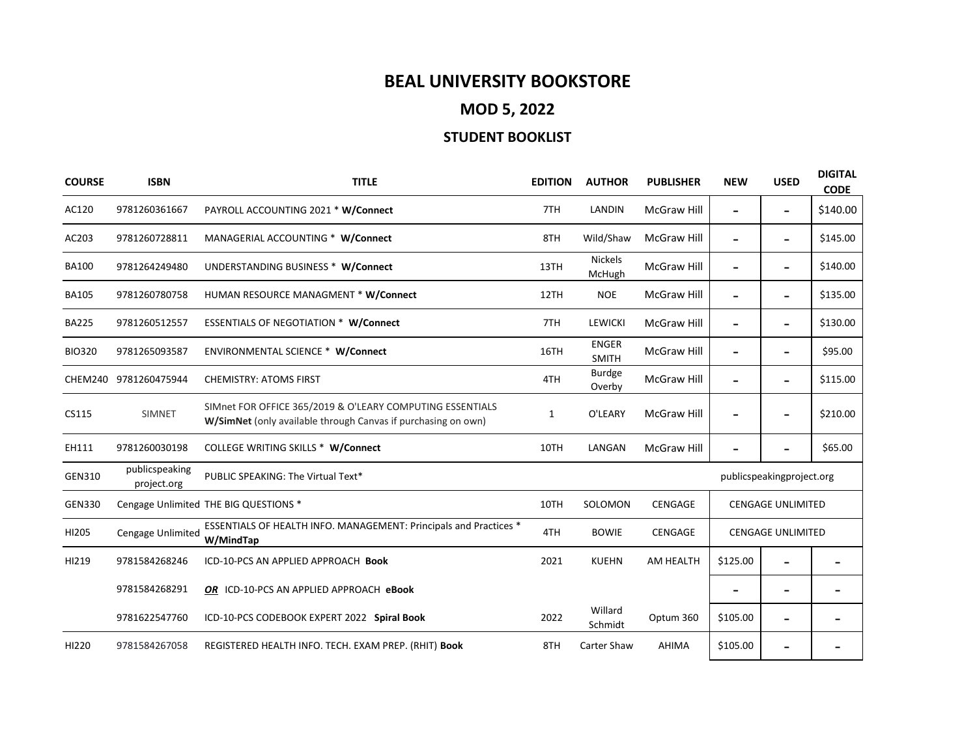## **BEAL UNIVERSITY BOOKSTORE**

**MOD 5, 2022**

## **STUDENT BOOKLIST**

| <b>COURSE</b> | <b>ISBN</b>                   | <b>TITLE</b>                                                                                                               | <b>EDITION</b> | <b>AUTHOR</b>                | <b>PUBLISHER</b>   | <b>NEW</b>                | <b>USED</b>                  | <b>DIGITAL</b><br><b>CODE</b> |  |
|---------------|-------------------------------|----------------------------------------------------------------------------------------------------------------------------|----------------|------------------------------|--------------------|---------------------------|------------------------------|-------------------------------|--|
| AC120         | 9781260361667                 | PAYROLL ACCOUNTING 2021 * W/Connect                                                                                        | 7TH            | LANDIN                       | <b>McGraw Hill</b> |                           | $\qquad \qquad \blacksquare$ | \$140.00                      |  |
| AC203         | 9781260728811                 | MANAGERIAL ACCOUNTING * W/Connect                                                                                          | 8TH            | Wild/Shaw                    | <b>McGraw Hill</b> |                           | $\qquad \qquad \blacksquare$ | \$145.00                      |  |
| <b>BA100</b>  | 9781264249480                 | UNDERSTANDING BUSINESS * W/Connect                                                                                         | 13TH           | <b>Nickels</b><br>McHugh     | McGraw Hill        |                           | $\qquad \qquad \blacksquare$ | \$140.00                      |  |
| <b>BA105</b>  | 9781260780758                 | HUMAN RESOURCE MANAGMENT * W/Connect                                                                                       | 12TH           | <b>NOE</b>                   | <b>McGraw Hill</b> |                           | $\qquad \qquad \blacksquare$ | \$135.00                      |  |
| <b>BA225</b>  | 9781260512557                 | <b>ESSENTIALS OF NEGOTIATION * W/Connect</b>                                                                               | 7TH            | <b>LEWICKI</b>               | <b>McGraw Hill</b> |                           | $\qquad \qquad \blacksquare$ | \$130.00                      |  |
| <b>BIO320</b> | 9781265093587                 | <b>ENVIRONMENTAL SCIENCE * W/Connect</b>                                                                                   | 16TH           | <b>ENGER</b><br><b>SMITH</b> | <b>McGraw Hill</b> |                           | -                            | \$95.00                       |  |
|               | CHEM240 9781260475944         | <b>CHEMISTRY: ATOMS FIRST</b>                                                                                              | 4TH            | Burdge<br>Overby             | <b>McGraw Hill</b> |                           | $\qquad \qquad \blacksquare$ | \$115.00                      |  |
| CS115         | <b>SIMNET</b>                 | SIMnet FOR OFFICE 365/2019 & O'LEARY COMPUTING ESSENTIALS<br>W/SimNet (only available through Canvas if purchasing on own) | $\mathbf{1}$   | O'LEARY                      | <b>McGraw Hill</b> |                           | $\qquad \qquad \blacksquare$ | \$210.00                      |  |
| EH111         | 9781260030198                 | <b>COLLEGE WRITING SKILLS * W/Connect</b>                                                                                  | 10TH           | LANGAN                       | <b>McGraw Hill</b> |                           |                              | \$65.00                       |  |
| GEN310        | publicspeaking<br>project.org | PUBLIC SPEAKING: The Virtual Text*                                                                                         |                |                              |                    | publicspeakingproject.org |                              |                               |  |
| <b>GEN330</b> |                               | Cengage Unlimited THE BIG QUESTIONS *                                                                                      | 10TH           | SOLOMON                      | CENGAGE            | <b>CENGAGE UNLIMITED</b>  |                              |                               |  |
| HI205         | Cengage Unlimited             | ESSENTIALS OF HEALTH INFO. MANAGEMENT: Principals and Practices *<br>W/MindTap                                             | 4TH            | <b>BOWIE</b>                 | CENGAGE            | <b>CENGAGE UNLIMITED</b>  |                              |                               |  |
| HI219         | 9781584268246                 | ICD-10-PCS AN APPLIED APPROACH Book                                                                                        | 2021           | <b>KUEHN</b>                 | AM HEALTH          | \$125.00                  |                              |                               |  |
|               | 9781584268291                 | OR ICD-10-PCS AN APPLIED APPROACH eBook                                                                                    |                |                              |                    |                           | -                            |                               |  |
|               | 9781622547760                 | ICD-10-PCS CODEBOOK EXPERT 2022 Spiral Book                                                                                | 2022           | Willard<br>Schmidt           | Optum 360          | \$105.00                  | $\overline{\phantom{a}}$     |                               |  |
| HI220         | 9781584267058                 | REGISTERED HEALTH INFO. TECH. EXAM PREP. (RHIT) Book                                                                       | 8TH            | Carter Shaw                  | AHIMA              | \$105.00                  | -                            |                               |  |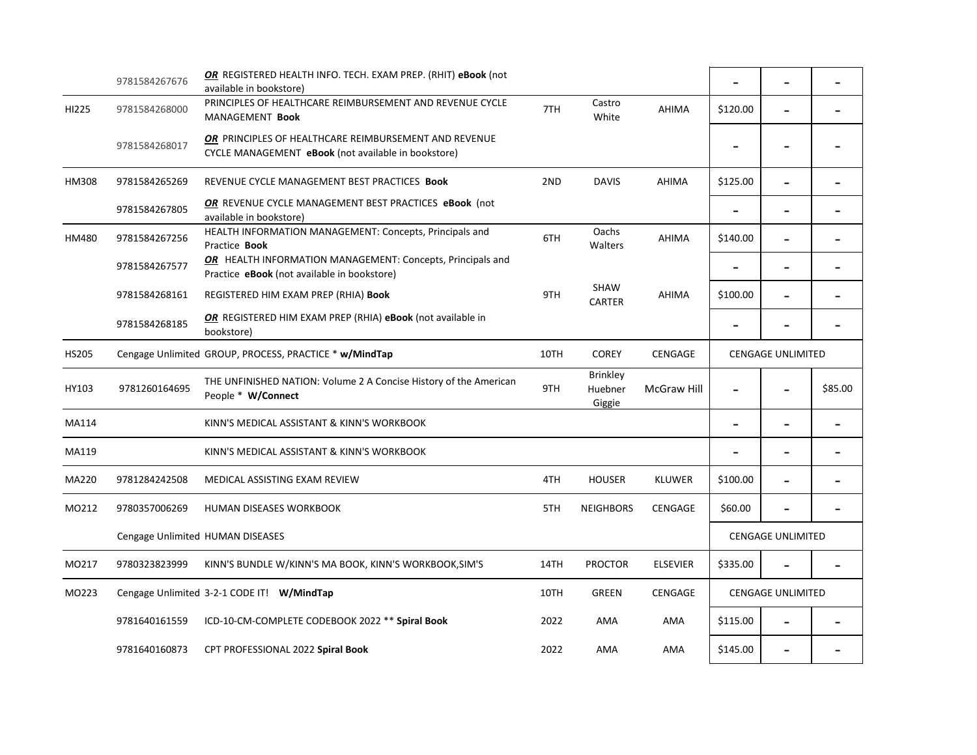|              | 9781584267676                              | OR REGISTERED HEALTH INFO. TECH. EXAM PREP. (RHIT) eBook (not<br>available in bookstore)                     |      |                                      |                    |                          |                          |                          |
|--------------|--------------------------------------------|--------------------------------------------------------------------------------------------------------------|------|--------------------------------------|--------------------|--------------------------|--------------------------|--------------------------|
| HI225        | 9781584268000                              | PRINCIPLES OF HEALTHCARE REIMBURSEMENT AND REVENUE CYCLE<br>MANAGEMENT Book                                  | 7TH  | Castro<br>White                      | <b>AHIMA</b>       | \$120.00                 | $\overline{\phantom{0}}$ |                          |
|              | 9781584268017                              | OR PRINCIPLES OF HEALTHCARE REIMBURSEMENT AND REVENUE<br>CYCLE MANAGEMENT eBook (not available in bookstore) |      |                                      |                    |                          |                          |                          |
| <b>HM308</b> | 9781584265269                              | REVENUE CYCLE MANAGEMENT BEST PRACTICES Book                                                                 | 2ND  | <b>DAVIS</b>                         | <b>AHIMA</b>       | \$125.00                 |                          |                          |
|              | 9781584267805                              | OR REVENUE CYCLE MANAGEMENT BEST PRACTICES eBook (not<br>available in bookstore)                             |      |                                      |                    |                          | $\overline{\phantom{0}}$ |                          |
| HM480        | 9781584267256                              | HEALTH INFORMATION MANAGEMENT: Concepts, Principals and<br>Practice Book                                     | 6TH  | Oachs<br>Walters                     | AHIMA              | \$140.00                 | $\overline{\phantom{0}}$ |                          |
|              | 9781584267577                              | OR HEALTH INFORMATION MANAGEMENT: Concepts, Principals and<br>Practice eBook (not available in bookstore)    |      |                                      |                    |                          | $\overline{\phantom{0}}$ |                          |
|              | 9781584268161                              | REGISTERED HIM EXAM PREP (RHIA) Book                                                                         | 9TH  | <b>SHAW</b><br><b>CARTER</b>         | <b>AHIMA</b>       | \$100.00                 | $\overline{\phantom{0}}$ |                          |
|              | 9781584268185                              | OR REGISTERED HIM EXAM PREP (RHIA) eBook (not available in<br>bookstore)                                     |      |                                      |                    |                          |                          |                          |
| <b>HS205</b> |                                            | Cengage Unlimited GROUP, PROCESS, PRACTICE * w/MindTap                                                       | 10TH | <b>COREY</b>                         | CENGAGE            | <b>CENGAGE UNLIMITED</b> |                          |                          |
| HY103        | 9781260164695                              | THE UNFINISHED NATION: Volume 2 A Concise History of the American<br>People * W/Connect                      | 9TH  | <b>Brinkley</b><br>Huebner<br>Giggie | <b>McGraw Hill</b> | $\blacksquare$           | $\blacksquare$           | \$85.00                  |
| MA114        |                                            | KINN'S MEDICAL ASSISTANT & KINN'S WORKBOOK                                                                   |      |                                      |                    | $\overline{\phantom{0}}$ | $\overline{\phantom{0}}$ |                          |
| MA119        |                                            | KINN'S MEDICAL ASSISTANT & KINN'S WORKBOOK                                                                   |      |                                      |                    |                          | $\overline{\phantom{0}}$ | $\overline{\phantom{0}}$ |
| MA220        | 9781284242508                              | MEDICAL ASSISTING EXAM REVIEW                                                                                | 4TH  | <b>HOUSER</b>                        | <b>KLUWER</b>      | \$100.00                 |                          |                          |
| MO212        | 9780357006269                              | <b>HUMAN DISEASES WORKBOOK</b>                                                                               | 5TH  | <b>NEIGHBORS</b>                     | <b>CENGAGE</b>     | \$60.00                  |                          |                          |
|              | Cengage Unlimited HUMAN DISEASES           |                                                                                                              |      |                                      |                    | <b>CENGAGE UNLIMITED</b> |                          |                          |
| MO217        | 9780323823999                              | KINN'S BUNDLE W/KINN'S MA BOOK, KINN'S WORKBOOK, SIM'S                                                       | 14TH | <b>PROCTOR</b>                       | <b>ELSEVIER</b>    | \$335.00                 |                          |                          |
| MO223        | Cengage Unlimited 3-2-1 CODE IT! W/MindTap |                                                                                                              | 10TH | <b>GREEN</b>                         | <b>CENGAGE</b>     | <b>CENGAGE UNLIMITED</b> |                          |                          |
|              | 9781640161559                              | ICD-10-CM-COMPLETE CODEBOOK 2022 ** Spiral Book                                                              | 2022 | AMA                                  | AMA                | \$115.00                 |                          |                          |
|              | 9781640160873                              | CPT PROFESSIONAL 2022 Spiral Book                                                                            | 2022 | AMA                                  | AMA                | \$145.00                 |                          |                          |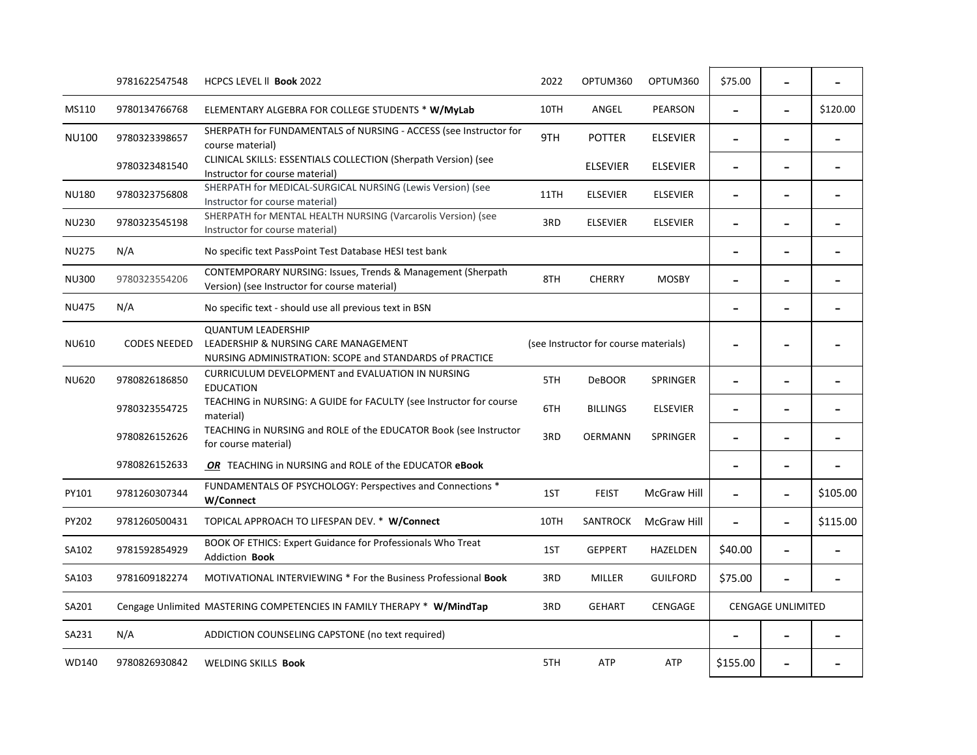|              | 9781622547548       | HCPCS LEVEL II Book 2022                                                                                                     | 2022                                  | OPTUM360        | OPTUM360           | \$75.00                      |                          |                              |
|--------------|---------------------|------------------------------------------------------------------------------------------------------------------------------|---------------------------------------|-----------------|--------------------|------------------------------|--------------------------|------------------------------|
| MS110        | 9780134766768       | ELEMENTARY ALGEBRA FOR COLLEGE STUDENTS * W/MyLab                                                                            | 10TH                                  | ANGEL           | PEARSON            |                              | $\overline{a}$           | \$120.00                     |
| <b>NU100</b> | 9780323398657       | SHERPATH for FUNDAMENTALS of NURSING - ACCESS (see Instructor for<br>course material)                                        | 9TH                                   | <b>POTTER</b>   | <b>ELSEVIER</b>    | $\qquad \qquad \blacksquare$ |                          | $\qquad \qquad \blacksquare$ |
|              | 9780323481540       | CLINICAL SKILLS: ESSENTIALS COLLECTION (Sherpath Version) (see<br>Instructor for course material)                            |                                       | <b>ELSEVIER</b> | <b>ELSEVIER</b>    | $\qquad \qquad \blacksquare$ |                          |                              |
| <b>NU180</b> | 9780323756808       | SHERPATH for MEDICAL-SURGICAL NURSING (Lewis Version) (see<br>Instructor for course material)                                | 11TH                                  | <b>ELSEVIER</b> | <b>ELSEVIER</b>    | $\qquad \qquad -$            | $\qquad \qquad -$        |                              |
| <b>NU230</b> | 9780323545198       | SHERPATH for MENTAL HEALTH NURSING (Varcarolis Version) (see<br>Instructor for course material)                              | 3RD                                   | <b>ELSEVIER</b> | <b>ELSEVIER</b>    | $\qquad \qquad \blacksquare$ | $\overline{\phantom{0}}$ |                              |
| <b>NU275</b> | N/A                 | No specific text PassPoint Test Database HESI test bank                                                                      |                                       |                 |                    | $\overline{\phantom{0}}$     |                          | $\blacksquare$               |
| <b>NU300</b> | 9780323554206       | CONTEMPORARY NURSING: Issues, Trends & Management (Sherpath<br>Version) (see Instructor for course material)                 | 8TH                                   | <b>CHERRY</b>   | <b>MOSBY</b>       |                              |                          |                              |
| <b>NU475</b> | N/A                 | No specific text - should use all previous text in BSN                                                                       |                                       |                 |                    |                              | $\overline{\phantom{0}}$ |                              |
| <b>NU610</b> | <b>CODES NEEDED</b> | <b>QUANTUM LEADERSHIP</b><br>LEADERSHIP & NURSING CARE MANAGEMENT<br>NURSING ADMINISTRATION: SCOPE and STANDARDS of PRACTICE | (see Instructor for course materials) |                 |                    |                              |                          |                              |
| <b>NU620</b> | 9780826186850       | CURRICULUM DEVELOPMENT and EVALUATION IN NURSING<br><b>EDUCATION</b>                                                         | 5TH                                   | <b>DeBOOR</b>   | <b>SPRINGER</b>    | $\overline{\phantom{0}}$     | $\blacksquare$           |                              |
|              | 9780323554725       | TEACHING in NURSING: A GUIDE for FACULTY (see Instructor for course<br>material)                                             | 6TH                                   | <b>BILLINGS</b> | <b>ELSEVIER</b>    |                              |                          |                              |
|              | 9780826152626       | TEACHING in NURSING and ROLE of the EDUCATOR Book (see Instructor<br>for course material)                                    | 3RD                                   | <b>OERMANN</b>  | <b>SPRINGER</b>    | $\qquad \qquad \blacksquare$ | $\overline{\phantom{a}}$ |                              |
|              | 9780826152633       | OR TEACHING in NURSING and ROLE of the EDUCATOR eBook                                                                        |                                       |                 |                    |                              |                          |                              |
| PY101        | 9781260307344       | FUNDAMENTALS OF PSYCHOLOGY: Perspectives and Connections *<br>W/Connect                                                      | 1ST                                   | <b>FEIST</b>    | McGraw Hill        | $\overline{\phantom{a}}$     | $\overline{\phantom{a}}$ | \$105.00                     |
| PY202        | 9781260500431       | TOPICAL APPROACH TO LIFESPAN DEV. * W/Connect                                                                                | 10TH                                  | SANTROCK        | <b>McGraw Hill</b> |                              |                          | \$115.00                     |
| SA102        | 9781592854929       | BOOK OF ETHICS: Expert Guidance for Professionals Who Treat<br>Addiction Book                                                | 1ST                                   | <b>GEPPERT</b>  | HAZELDEN           | \$40.00                      |                          |                              |
| SA103        | 9781609182274       | <b>MOTIVATIONAL INTERVIEWING * For the Business Professional Book</b>                                                        | 3RD                                   | MILLER          | <b>GUILFORD</b>    | \$75.00                      |                          |                              |
| SA201        |                     | Cengage Unlimited MASTERING COMPETENCIES IN FAMILY THERAPY * W/MindTap                                                       | 3RD                                   | <b>GEHART</b>   | CENGAGE            | <b>CENGAGE UNLIMITED</b>     |                          |                              |
| SA231        | N/A                 | ADDICTION COUNSELING CAPSTONE (no text required)                                                                             |                                       |                 |                    |                              |                          |                              |
| WD140        | 9780826930842       | WELDING SKILLS Book                                                                                                          | 5TH                                   | <b>ATP</b>      | ATP                | \$155.00                     |                          |                              |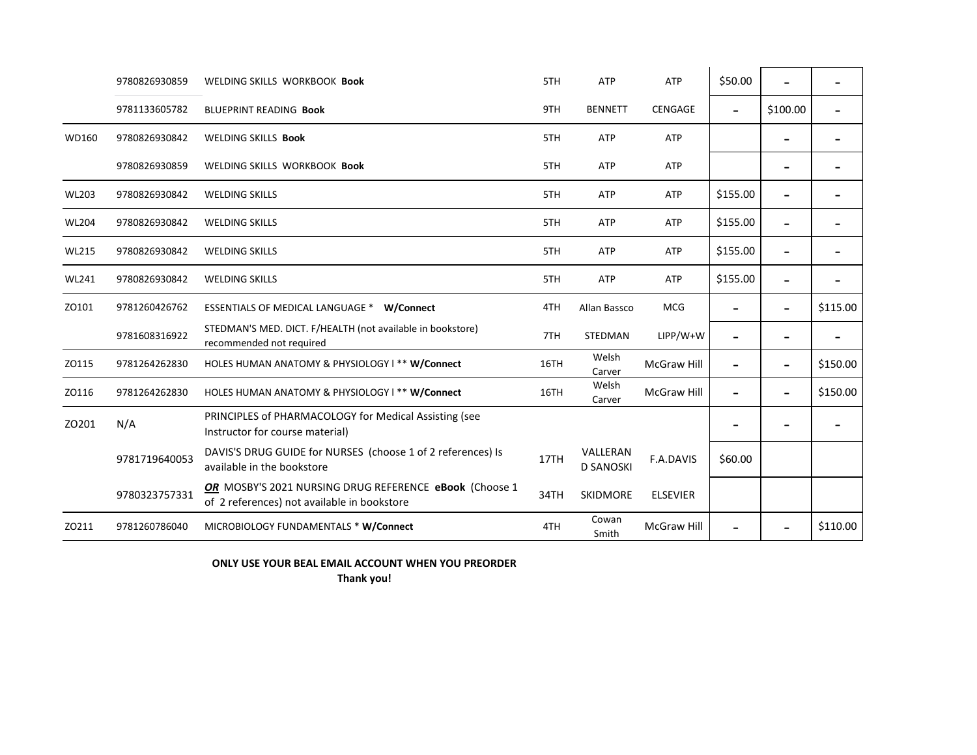|              | 9780826930859 | WELDING SKILLS WORKBOOK Book                                                                          | 5TH  | ATP                          | ATP                | \$50.00  |                          |          |
|--------------|---------------|-------------------------------------------------------------------------------------------------------|------|------------------------------|--------------------|----------|--------------------------|----------|
|              | 9781133605782 | BLUEPRINT READING Book                                                                                | 9TH  | <b>BENNETT</b>               | <b>CENGAGE</b>     |          | \$100.00                 |          |
| WD160        | 9780826930842 | <b>WELDING SKILLS Book</b>                                                                            | 5TH  | <b>ATP</b>                   | <b>ATP</b>         |          |                          |          |
|              | 9780826930859 | WELDING SKILLS WORKBOOK Book                                                                          | 5TH  | <b>ATP</b>                   | <b>ATP</b>         |          |                          |          |
| <b>WL203</b> | 9780826930842 | <b>WELDING SKILLS</b>                                                                                 | 5TH  | ATP                          | <b>ATP</b>         | \$155.00 | $\overline{\phantom{0}}$ |          |
| <b>WL204</b> | 9780826930842 | <b>WELDING SKILLS</b>                                                                                 | 5TH  | ATP                          | <b>ATP</b>         | \$155.00 |                          |          |
| <b>WL215</b> | 9780826930842 | <b>WELDING SKILLS</b>                                                                                 | 5TH  | ATP                          | <b>ATP</b>         | \$155.00 |                          |          |
| <b>WL241</b> | 9780826930842 | <b>WELDING SKILLS</b>                                                                                 | 5TH  | <b>ATP</b>                   | ATP                | \$155.00 |                          |          |
| ZO101        | 9781260426762 | ESSENTIALS OF MEDICAL LANGUAGE * W/Connect                                                            | 4TH  | Allan Bassco                 | <b>MCG</b>         |          | $\overline{\phantom{0}}$ | \$115.00 |
|              | 9781608316922 | STEDMAN'S MED. DICT. F/HEALTH (not available in bookstore)<br>recommended not required                | 7TH  | STEDMAN                      | $LIPP/W+W$         |          |                          |          |
| ZO115        | 9781264262830 | HOLES HUMAN ANATOMY & PHYSIOLOGY I ** W/Connect                                                       | 16TH | Welsh<br>Carver              | McGraw Hill        |          | $\blacksquare$           | \$150.00 |
| ZO116        | 9781264262830 | HOLES HUMAN ANATOMY & PHYSIOLOGY I ** W/Connect                                                       | 16TH | Welsh<br>Carver              | <b>McGraw Hill</b> |          | $\overline{a}$           | \$150.00 |
| ZO201        | N/A           | PRINCIPLES of PHARMACOLOGY for Medical Assisting (see<br>Instructor for course material)              |      |                              |                    |          |                          |          |
|              | 9781719640053 | DAVIS'S DRUG GUIDE for NURSES (choose 1 of 2 references) Is<br>available in the bookstore             | 17TH | VALLERAN<br><b>D SANOSKI</b> | F.A.DAVIS          | \$60.00  |                          |          |
|              | 9780323757331 | OR MOSBY'S 2021 NURSING DRUG REFERENCE eBook (Choose 1<br>of 2 references) not available in bookstore | 34TH | <b>SKIDMORE</b>              | <b>ELSEVIER</b>    |          |                          |          |
| ZO211        | 9781260786040 | MICROBIOLOGY FUNDAMENTALS * W/Connect                                                                 | 4TH  | Cowan<br>Smith               | <b>McGraw Hill</b> |          |                          | \$110.00 |

**ONLY USE YOUR BEAL EMAIL ACCOUNT WHEN YOU PREORDER** 

**Thank you!**